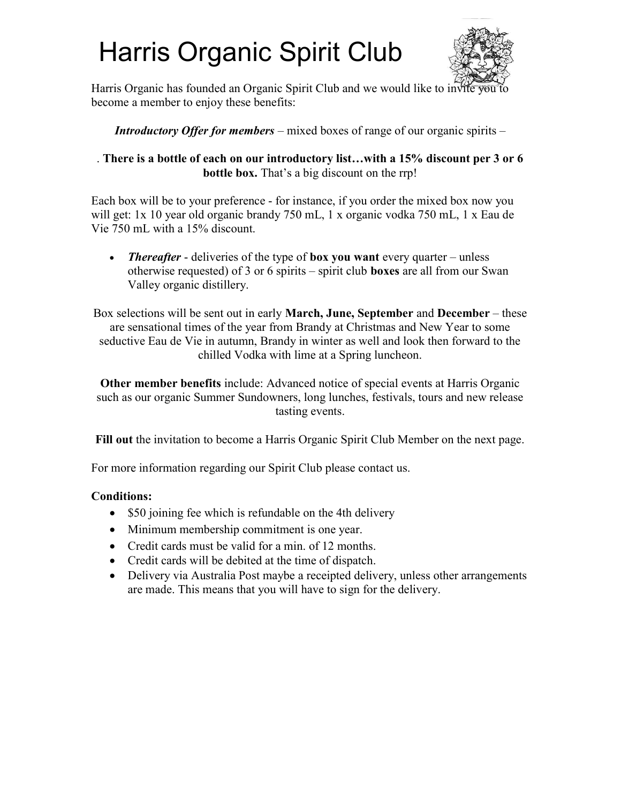# Harris Organic Spirit Club



Harris Organic has founded an Organic Spirit Club and we would like to invite become a member to enjoy these benefits:

#### **Introductory Offer for members** – mixed boxes of range of our organic spirits –

#### . There is a bottle of each on our introductory list…with a 15% discount per 3 or 6 bottle box. That's a big discount on the rrp!

Each box will be to your preference - for instance, if you order the mixed box now you will get: 1x 10 year old organic brandy 750 mL, 1 x organic vodka 750 mL, 1 x Eau de Vie 750 mL with a 15% discount.

• Thereafter - deliveries of the type of box you want every quarter – unless otherwise requested) of 3 or 6 spirits – spirit club **boxes** are all from our Swan Valley organic distillery.

Box selections will be sent out in early March, June, September and December – these are sensational times of the year from Brandy at Christmas and New Year to some seductive Eau de Vie in autumn, Brandy in winter as well and look then forward to the chilled Vodka with lime at a Spring luncheon.

Other member benefits include: Advanced notice of special events at Harris Organic such as our organic Summer Sundowners, long lunches, festivals, tours and new release tasting events.

Fill out the invitation to become a Harris Organic Spirit Club Member on the next page.

For more information regarding our Spirit Club please contact us.

### Conditions:

- \$50 joining fee which is refundable on the 4th delivery
- Minimum membership commitment is one year.
- Credit cards must be valid for a min. of 12 months.
- Credit cards will be debited at the time of dispatch.
- Delivery via Australia Post maybe a receipted delivery, unless other arrangements are made. This means that you will have to sign for the delivery.